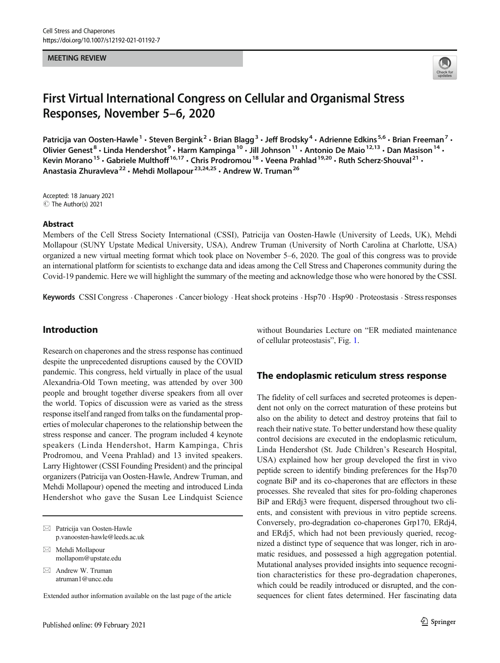#### MEETING REVIEW



# First Virtual International Congress on Cellular and Organismal Stress Responses, November 5–6, 2020

Patricija van Oosten-Hawle<sup>1</sup> • Steven Bergink<sup>2</sup> • Brian Blagg<sup>3</sup> • Jeff Brodsky<sup>4</sup> • Adrienne Edkins<sup>5,6</sup> • Brian Freeman<sup>7</sup> • Olivier Genest<sup>8</sup> • Linda Hendershot<sup>9</sup> • Harm Kampinga<sup>10</sup> • Jill Johnson<sup>11</sup> • Antonio De Maio<sup>12,13</sup> • Dan Masison<sup>14</sup> • Kevin Morano<sup>15</sup> • Gabriele Multhoff<sup>16,17</sup> • Chris Prodromou<sup>18</sup> • Veena Prahlad<sup>19,20</sup> • Ruth Scherz-Shouval<sup>21</sup> • Anastasia Zhuravleva<sup>22</sup> · Mehdi Mollapour<sup>23,24,25</sup> · Andrew W. Truman<sup>26</sup>

Accepted: 18 January 2021  $\circledcirc$  The Author(s) 2021

#### Abstract

Members of the Cell Stress Society International (CSSI), Patricija van Oosten-Hawle (University of Leeds, UK), Mehdi Mollapour (SUNY Upstate Medical University, USA), Andrew Truman (University of North Carolina at Charlotte, USA) organized a new virtual meeting format which took place on November 5–6, 2020. The goal of this congress was to provide an international platform for scientists to exchange data and ideas among the Cell Stress and Chaperones community during the Covid-19 pandemic. Here we will highlight the summary of the meeting and acknowledge those who were honored by the CSSI.

Keywords CSSI Congress · Chaperones · Cancer biology · Heat shock proteins · Hsp70 · Hsp90 · Proteostasis · Stress responses

# Introduction

Research on chaperones and the stress response has continued despite the unprecedented disruptions caused by the COVID pandemic. This congress, held virtually in place of the usual Alexandria-Old Town meeting, was attended by over 300 people and brought together diverse speakers from all over the world. Topics of discussion were as varied as the stress response itself and ranged from talks on the fundamental properties of molecular chaperones to the relationship between the stress response and cancer. The program included 4 keynote speakers (Linda Hendershot, Harm Kampinga, Chris Prodromou, and Veena Prahlad) and 13 invited speakers. Larry Hightower (CSSI Founding President) and the principal organizers (Patricija van Oosten-Hawle, Andrew Truman, and Mehdi Mollapour) opened the meeting and introduced Linda Hendershot who gave the Susan Lee Lindquist Science

 $\boxtimes$  Patricija van Oosten-Hawle [p.vanoosten-hawle@leeds.ac.uk](mailto:p.vanoosten-hawle@leeds.ac.uk)

 $\boxtimes$  Mehdi Mollapour [mollapom@upstate.edu](mailto:mollapom@upstate.edu)

 $\boxtimes$  Andrew W. Truman [atruman1@uncc.edu](mailto:atruman1@uncc.edu)

Extended author information available on the last page of the article

without Boundaries Lecture on "ER mediated maintenance of cellular proteostasis", Fig. [1.](#page-1-0)

#### The endoplasmic reticulum stress response

The fidelity of cell surfaces and secreted proteomes is dependent not only on the correct maturation of these proteins but also on the ability to detect and destroy proteins that fail to reach their native state. To better understand how these quality control decisions are executed in the endoplasmic reticulum, Linda Hendershot (St. Jude Children's Research Hospital, USA) explained how her group developed the first in vivo peptide screen to identify binding preferences for the Hsp70 cognate BiP and its co-chaperones that are effectors in these processes. She revealed that sites for pro-folding chaperones BiP and ERdj3 were frequent, dispersed throughout two clients, and consistent with previous in vitro peptide screens. Conversely, pro-degradation co-chaperones Grp170, ERdj4, and ERdj5, which had not been previously queried, recognized a distinct type of sequence that was longer, rich in aromatic residues, and possessed a high aggregation potential. Mutational analyses provided insights into sequence recognition characteristics for these pro-degradation chaperones, which could be readily introduced or disrupted, and the consequences for client fates determined. Her fascinating data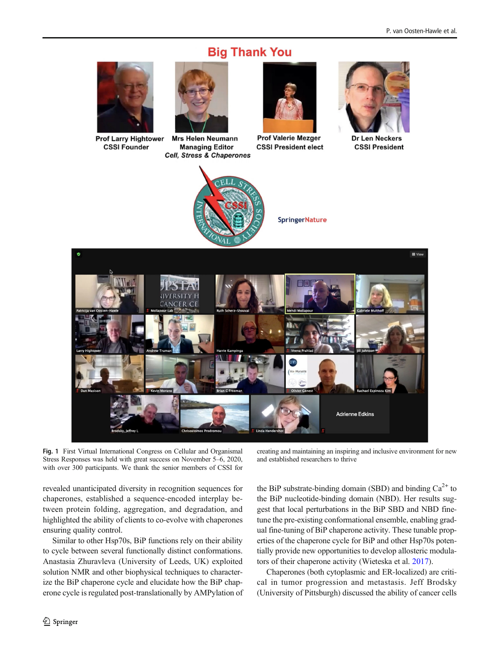# **Big Thank You**

<span id="page-1-0"></span>

**Prof Larry Hightower CSSI Founder** 



**Cell. Stress & Chaperones** 

**Prof Valerie Mezger CSSI President elect Managing Editor** 



SpringerNature

Dr Len Necker **CSSI President** 



III Vie ANCER **Adrienne Edkins** 

Fig. 1 First Virtual International Congress on Cellular and Organismal Stress Responses was held with great success on November 5–6, 2020, with over 300 participants. We thank the senior members of CSSI for

revealed unanticipated diversity in recognition sequences for chaperones, established a sequence-encoded interplay between protein folding, aggregation, and degradation, and highlighted the ability of clients to co-evolve with chaperones ensuring quality control.

Similar to other Hsp70s, BiP functions rely on their ability to cycle between several functionally distinct conformations. Anastasia Zhuravleva (University of Leeds, UK) exploited solution NMR and other biophysical techniques to characterize the BiP chaperone cycle and elucidate how the BiP chaperone cycle is regulated post-translationally by AMPylation of

creating and maintaining an inspiring and inclusive environment for new and established researchers to thrive

the BiP substrate-binding domain (SBD) and binding  $Ca^{2+}$  to the BiP nucleotide-binding domain (NBD). Her results suggest that local perturbations in the BiP SBD and NBD finetune the pre-existing conformational ensemble, enabling gradual fine-tuning of BiP chaperone activity. These tunable properties of the chaperone cycle for BiP and other Hsp70s potentially provide new opportunities to develop allosteric modulators of their chaperone activity (Wieteska et al. [2017\)](#page-6-0).

Chaperones (both cytoplasmic and ER-localized) are critical in tumor progression and metastasis. Jeff Brodsky (University of Pittsburgh) discussed the ability of cancer cells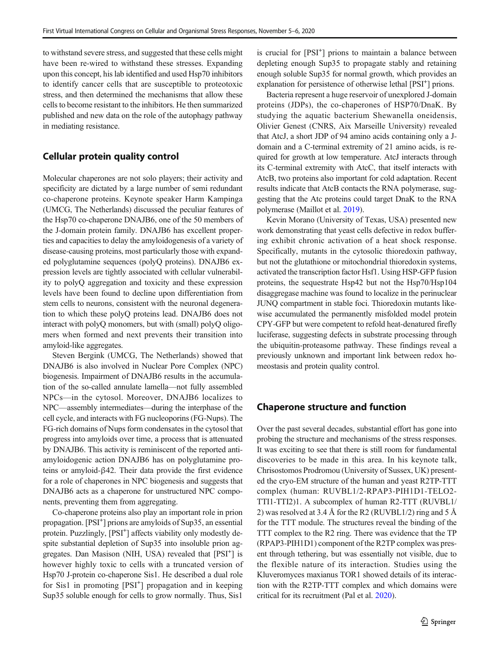to withstand severe stress, and suggested that these cells might have been re-wired to withstand these stresses. Expanding upon this concept, his lab identified and used Hsp70 inhibitors to identify cancer cells that are susceptible to proteotoxic stress, and then determined the mechanisms that allow these cells to become resistant to the inhibitors. He then summarized published and new data on the role of the autophagy pathway in mediating resistance.

## Cellular protein quality control

Molecular chaperones are not solo players; their activity and specificity are dictated by a large number of semi redundant co-chaperone proteins. Keynote speaker Harm Kampinga (UMCG, The Netherlands) discussed the peculiar features of the Hsp70 co-chaperone DNAJB6, one of the 50 members of the J-domain protein family. DNAJB6 has excellent properties and capacities to delay the amyloidogenesis of a variety of disease-causing proteins, most particularly those with expanded polyglutamine sequences (polyQ proteins). DNAJB6 expression levels are tightly associated with cellular vulnerability to polyQ aggregation and toxicity and these expression levels have been found to decline upon differentiation from stem cells to neurons, consistent with the neuronal degeneration to which these polyQ proteins lead. DNAJB6 does not interact with polyQ monomers, but with (small) polyQ oligomers when formed and next prevents their transition into amyloid-like aggregates.

Steven Bergink (UMCG, The Netherlands) showed that DNAJB6 is also involved in Nuclear Pore Complex (NPC) biogenesis. Impairment of DNAJB6 results in the accumulation of the so-called annulate lamella—not fully assembled NPCs—in the cytosol. Moreover, DNAJB6 localizes to NPC—assembly intermediates—during the interphase of the cell cycle, and interacts with FG nucleoporins (FG-Nups). The FG-rich domains of Nups form condensates in the cytosol that progress into amyloids over time, a process that is attenuated by DNAJB6. This activity is reminiscent of the reported antiamyloidogenic action DNAJB6 has on polyglutamine proteins or amyloid-β42. Their data provide the first evidence for a role of chaperones in NPC biogenesis and suggests that DNAJB6 acts as a chaperone for unstructured NPC components, preventing them from aggregating.

Co-chaperone proteins also play an important role in prion propagation. [PSI<sup>+</sup>] prions are amyloids of Sup35, an essential protein. Puzzlingly, [PSI<sup>+</sup>] affects viability only modestly despite substantial depletion of Sup35 into insoluble prion aggregates. Dan Masison (NIH, USA) revealed that [PSI<sup>+</sup>] is however highly toxic to cells with a truncated version of Hsp70 J-protein co-chaperone Sis1. He described a dual role for Sis1 in promoting [PSI<sup>+</sup>] propagation and in keeping Sup35 soluble enough for cells to grow normally. Thus, Sis1

is crucial for [PSI<sup>+</sup>] prions to maintain a balance between depleting enough Sup35 to propagate stably and retaining enough soluble Sup35 for normal growth, which provides an explanation for persistence of otherwise lethal [PSI<sup>+</sup>] prions.

Bacteria represent a huge reservoir of unexplored J-domain proteins (JDPs), the co-chaperones of HSP70/DnaK. By studying the aquatic bacterium Shewanella oneidensis, Olivier Genest (CNRS, Aix Marseille University) revealed that AtcJ, a short JDP of 94 amino acids containing only a Jdomain and a C-terminal extremity of 21 amino acids, is required for growth at low temperature. AtcJ interacts through its C-terminal extremity with AtcC, that itself interacts with AtcB, two proteins also important for cold adaptation. Recent results indicate that AtcB contacts the RNA polymerase, suggesting that the Atc proteins could target DnaK to the RNA polymerase (Maillot et al. [2019\)](#page-5-0).

Kevin Morano (University of Texas, USA) presented new work demonstrating that yeast cells defective in redox buffering exhibit chronic activation of a heat shock response. Specifically, mutants in the cytosolic thioredoxin pathway, but not the glutathione or mitochondrial thioredoxin systems, activated the transcription factor Hsf1. Using HSP-GFP fusion proteins, the sequestrate Hsp42 but not the Hsp70/Hsp104 disaggregase machine was found to localize in the perinuclear JUNQ compartment in stable foci. Thioredoxin mutants likewise accumulated the permanently misfolded model protein CPY-GFP but were competent to refold heat-denatured firefly luciferase, suggesting defects in substrate processing through the ubiquitin-proteasome pathway. These findings reveal a previously unknown and important link between redox homeostasis and protein quality control.

## Chaperone structure and function

Over the past several decades, substantial effort has gone into probing the structure and mechanisms of the stress responses. It was exciting to see that there is still room for fundamental discoveries to be made in this area. In his keynote talk, Chrisostomos Prodromou (University of Sussex, UK) presented the cryo-EM structure of the human and yeast R2TP-TTT complex (human: RUVBL1/2-RPAP3-PIH1D1-TELO2- TTI1-TTI2)1. A subcomplex of human R2-TTT (RUVBL1/ 2) was resolved at 3.4 Å for the R2 (RUVBL1/2) ring and 5 Å for the TTT module. The structures reveal the binding of the TTT complex to the R2 ring. There was evidence that the TP (RPAP3-PIH1D1) component of the R2TP complex was present through tethering, but was essentially not visible, due to the flexible nature of its interaction. Studies using the Kluveromyces maxianus TOR1 showed details of its interaction with the R2TP-TTT complex and which domains were critical for its recruitment (Pal et al. [2020\)](#page-5-0).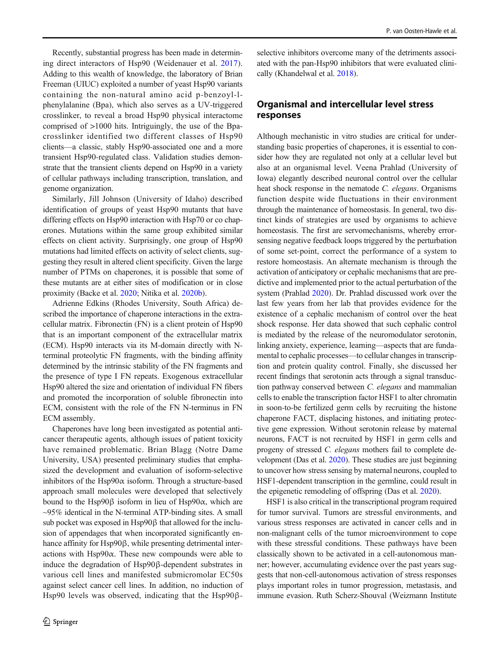Recently, substantial progress has been made in determining direct interactors of Hsp90 (Weidenauer et al. [2017](#page-6-0)). Adding to this wealth of knowledge, the laboratory of Brian Freeman (UIUC) exploited a number of yeast Hsp90 variants containing the non-natural amino acid p-benzoyl-lphenylalanine (Bpa), which also serves as a UV-triggered crosslinker, to reveal a broad Hsp90 physical interactome comprised of >1000 hits. Intriguingly, the use of the Bpacrosslinker identified two different classes of Hsp90 clients—a classic, stably Hsp90-associated one and a more transient Hsp90-regulated class. Validation studies demonstrate that the transient clients depend on Hsp90 in a variety of cellular pathways including transcription, translation, and genome organization.

Similarly, Jill Johnson (University of Idaho) described identification of groups of yeast Hsp90 mutants that have differing effects on Hsp90 interaction with Hsp70 or co chaperones. Mutations within the same group exhibited similar effects on client activity. Surprisingly, one group of Hsp90 mutations had limited effects on activity of select clients, suggesting they result in altered client specificity. Given the large number of PTMs on chaperones, it is possible that some of these mutants are at either sites of modification or in close proximity (Backe et al. [2020;](#page-5-0) Nitika et al. [2020b\)](#page-5-0).

Adrienne Edkins (Rhodes University, South Africa) described the importance of chaperone interactions in the extracellular matrix. Fibronectin (FN) is a client protein of Hsp90 that is an important component of the extracellular matrix (ECM). Hsp90 interacts via its M-domain directly with Nterminal proteolytic FN fragments, with the binding affinity determined by the intrinsic stability of the FN fragments and the presence of type I FN repeats. Exogenous extracellular Hsp90 altered the size and orientation of individual FN fibers and promoted the incorporation of soluble fibronectin into ECM, consistent with the role of the FN N-terminus in FN ECM assembly.

Chaperones have long been investigated as potential anticancer therapeutic agents, although issues of patient toxicity have remained problematic. Brian Blagg (Notre Dame University, USA) presented preliminary studies that emphasized the development and evaluation of isoform-selective inhibitors of the Hsp $90\alpha$  isoform. Through a structure-based approach small molecules were developed that selectively bound to the Hsp90β isoform in lieu of Hsp90α, which are  $\sim$ 95% identical in the N-terminal ATP-binding sites. A small sub pocket was exposed in Hsp90β that allowed for the inclusion of appendages that when incorporated significantly enhance affinity for Hsp90β, while presenting detrimental interactions with  $Hsp90\alpha$ . These new compounds were able to induce the degradation of Hsp90β-dependent substrates in various cell lines and manifested submicromolar EC50s against select cancer cell lines. In addition, no induction of Hsp90 levels was observed, indicating that the Hsp90β-

selective inhibitors overcome many of the detriments associated with the pan-Hsp90 inhibitors that were evaluated clinically (Khandelwal et al. [2018](#page-5-0)).

# Organismal and intercellular level stress responses

Although mechanistic in vitro studies are critical for understanding basic properties of chaperones, it is essential to consider how they are regulated not only at a cellular level but also at an organismal level. Veena Prahlad (University of Iowa) elegantly described neuronal control over the cellular heat shock response in the nematode C. elegans. Organisms function despite wide fluctuations in their environment through the maintenance of homeostasis. In general, two distinct kinds of strategies are used by organisms to achieve homeostasis. The first are servomechanisms, whereby errorsensing negative feedback loops triggered by the perturbation of some set-point, correct the performance of a system to restore homeostasis. An alternate mechanism is through the activation of anticipatory or cephalic mechanisms that are predictive and implemented prior to the actual perturbation of the system (Prahlad [2020\)](#page-5-0). Dr. Prahlad discussed work over the last few years from her lab that provides evidence for the existence of a cephalic mechanism of control over the heat shock response. Her data showed that such cephalic control is mediated by the release of the neuromodulator serotonin, linking anxiety, experience, learning—aspects that are fundamental to cephalic processes—to cellular changes in transcription and protein quality control. Finally, she discussed her recent findings that serotonin acts through a signal transduction pathway conserved between C. elegans and mammalian cells to enable the transcription factor HSF1 to alter chromatin in soon-to-be fertilized germ cells by recruiting the histone chaperone FACT, displacing histones, and initiating protective gene expression. Without serotonin release by maternal neurons, FACT is not recruited by HSF1 in germ cells and progeny of stressed C. elegans mothers fail to complete development (Das et al. [2020](#page-5-0)). These studies are just beginning to uncover how stress sensing by maternal neurons, coupled to HSF1-dependent transcription in the germline, could result in the epigenetic remodeling of offspring (Das et al. [2020](#page-5-0)).

HSF1 is also critical in the transcriptional program required for tumor survival. Tumors are stressful environments, and various stress responses are activated in cancer cells and in non-malignant cells of the tumor microenvironment to cope with these stressful conditions. These pathways have been classically shown to be activated in a cell-autonomous manner; however, accumulating evidence over the past years suggests that non-cell-autonomous activation of stress responses plays important roles in tumor progression, metastasis, and immune evasion. Ruth Scherz-Shouval (Weizmann Institute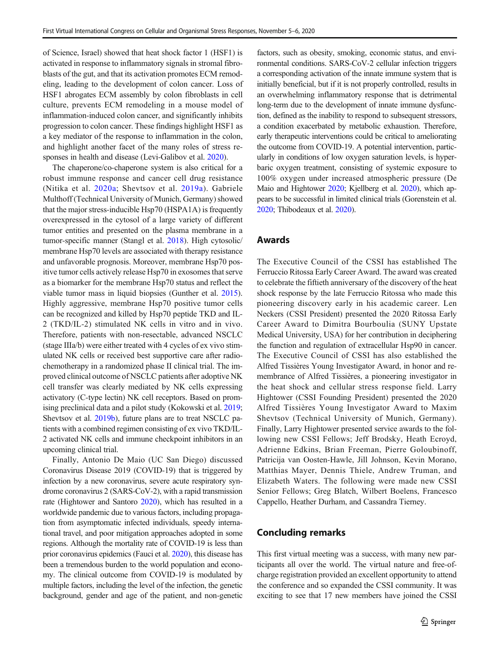of Science, Israel) showed that heat shock factor 1 (HSF1) is activated in response to inflammatory signals in stromal fibroblasts of the gut, and that its activation promotes ECM remodeling, leading to the development of colon cancer. Loss of HSF1 abrogates ECM assembly by colon fibroblasts in cell culture, prevents ECM remodeling in a mouse model of inflammation-induced colon cancer, and significantly inhibits progression to colon cancer. These findings highlight HSF1 as a key mediator of the response to inflammation in the colon, and highlight another facet of the many roles of stress responses in health and disease (Levi-Galibov et al. [2020](#page-5-0)).

The chaperone/co-chaperone system is also critical for a robust immune response and cancer cell drug resistance (Nitika et al. [2020a;](#page-5-0) Shevtsov et al. [2019a](#page-5-0)). Gabriele Multhoff (Technical University of Munich, Germany) showed that the major stress-inducible Hsp70 (HSPA1A) is frequently overexpressed in the cytosol of a large variety of different tumor entities and presented on the plasma membrane in a tumor-specific manner (Stangl et al. [2018\)](#page-5-0). High cytosolic/ membrane Hsp70 levels are associated with therapy resistance and unfavorable prognosis. Moreover, membrane Hsp70 positive tumor cells actively release Hsp70 in exosomes that serve as a biomarker for the membrane Hsp70 status and reflect the viable tumor mass in liquid biopsies (Gunther et al. [2015](#page-5-0)). Highly aggressive, membrane Hsp70 positive tumor cells can be recognized and killed by Hsp70 peptide TKD and IL-2 (TKD/IL-2) stimulated NK cells in vitro and in vivo. Therefore, patients with non-resectable, advanced NSCLC (stage IIIa/b) were either treated with 4 cycles of ex vivo stimulated NK cells or received best supportive care after radiochemotherapy in a randomized phase II clinical trial. The improved clinical outcome of NSCLC patients after adoptive NK cell transfer was clearly mediated by NK cells expressing activatory (C-type lectin) NK cell receptors. Based on promising preclinical data and a pilot study (Kokowski et al. [2019](#page-5-0); Shevtsov et al. [2019b](#page-5-0)), future plans are to treat NSCLC patients with a combined regimen consisting of ex vivo TKD/IL-2 activated NK cells and immune checkpoint inhibitors in an upcoming clinical trial.

Finally, Antonio De Maio (UC San Diego) discussed Coronavirus Disease 2019 (COVID-19) that is triggered by infection by a new coronavirus, severe acute respiratory syndrome coronavirus 2 (SARS-CoV-2), with a rapid transmission rate (Hightower and Santoro [2020](#page-5-0)), which has resulted in a worldwide pandemic due to various factors, including propagation from asymptomatic infected individuals, speedy international travel, and poor mitigation approaches adopted in some regions. Although the mortality rate of COVID-19 is less than prior coronavirus epidemics (Fauci et al. [2020\)](#page-5-0), this disease has been a tremendous burden to the world population and economy. The clinical outcome from COVID-19 is modulated by multiple factors, including the level of the infection, the genetic background, gender and age of the patient, and non-genetic

factors, such as obesity, smoking, economic status, and environmental conditions. SARS-CoV-2 cellular infection triggers a corresponding activation of the innate immune system that is initially beneficial, but if it is not properly controlled, results in an overwhelming inflammatory response that is detrimental long-term due to the development of innate immune dysfunction, defined as the inability to respond to subsequent stressors, a condition exacerbated by metabolic exhaustion. Therefore, early therapeutic interventions could be critical to ameliorating the outcome from COVID-19. A potential intervention, particularly in conditions of low oxygen saturation levels, is hyperbaric oxygen treatment, consisting of systemic exposure to 100% oxygen under increased atmospheric pressure (De Maio and Hightower [2020](#page-5-0); Kjellberg et al. [2020\)](#page-5-0), which appears to be successful in limited clinical trials (Gorenstein et al. [2020](#page-5-0); Thibodeaux et al. [2020\)](#page-6-0).

#### Awards

The Executive Council of the CSSI has established The Ferruccio Ritossa Early Career Award. The award was created to celebrate the fiftieth anniversary of the discovery of the heat shock response by the late Ferruccio Ritossa who made this pioneering discovery early in his academic career. Len Neckers (CSSI President) presented the 2020 Ritossa Early Career Award to Dimitra Bourboulia (SUNY Upstate Medical University, USA) for her contribution in deciphering the function and regulation of extracellular Hsp90 in cancer. The Executive Council of CSSI has also established the Alfred Tissières Young Investigator Award, in honor and remembrance of Alfred Tissières, a pioneering investigator in the heat shock and cellular stress response field. Larry Hightower (CSSI Founding President) presented the 2020 Alfred Tissières Young Investigator Award to Maxim Shevtsov (Technical University of Munich, Germany). Finally, Larry Hightower presented service awards to the following new CSSI Fellows; Jeff Brodsky, Heath Ecroyd, Adrienne Edkins, Brian Freeman, Pierre Goloubinoff, Patricija van Oosten-Hawle, Jill Johnson, Kevin Morano, Matthias Mayer, Dennis Thiele, Andrew Truman, and Elizabeth Waters. The following were made new CSSI Senior Fellows; Greg Blatch, Wilbert Boelens, Francesco Cappello, Heather Durham, and Cassandra Tierney.

#### Concluding remarks

This first virtual meeting was a success, with many new participants all over the world. The virtual nature and free-ofcharge registration provided an excellent opportunity to attend the conference and so expanded the CSSI community. It was exciting to see that 17 new members have joined the CSSI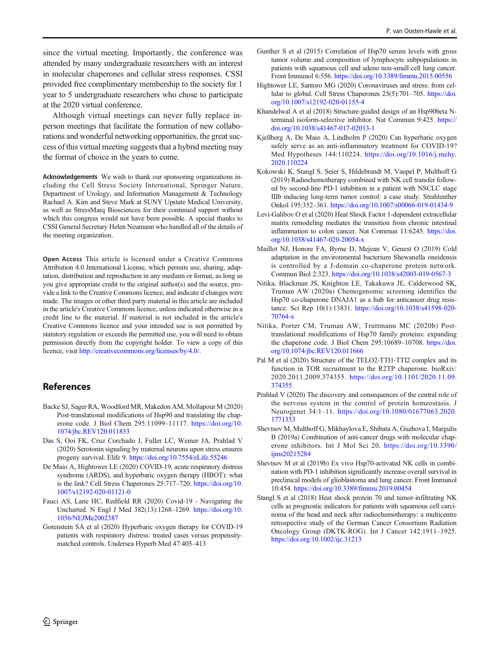<span id="page-5-0"></span>since the virtual meeting. Importantly, the conference was attended by many undergraduate researchers with an interest in molecular chaperones and cellular stress responses. CSSI provided free complimentary membership to the society for 1 year to 5 undergraduate researchers who chose to participate at the 2020 virtual conference.

Although virtual meetings can never fully replace inperson meetings that facilitate the formation of new collaborations and wonderful networking opportunities, the great success of this virtual meeting suggests that a hybrid meeting may the format of choice in the years to come.

Acknowledgements We wish to thank our sponsoring organizations including the Cell Stress Society International, Springer Nature, Department of Urology, and Information Management & Technology Rachael A. Kim and Steve Mark at SUNY Upstate Medical University, as well as StressMarq Biosciences for their continued support without which this congress would not have been possible. A special thanks to CSSI General Secretary Helen Neumann who handled all of the details of the meeting organization.

Open Access This article is licensed under a Creative Commons Attribution 4.0 International License, which permits use, sharing, adaptation, distribution and reproduction in any medium or format, as long as you give appropriate credit to the original author(s) and the source, provide a link to the Creative Commons licence, and indicate if changes were made. The images or other third party material in this article are included in the article's Creative Commons licence, unless indicated otherwise in a credit line to the material. If material is not included in the article's Creative Commons licence and your intended use is not permitted by statutory regulation or exceeds the permitted use, you will need to obtain permission directly from the copyright holder. To view a copy of this licence, visit [http://creativecommons.org/licenses/by/4.0/](https://doi.org/).

#### References

- Backe SJ, Sager RA, Woodford MR, Makedon AM, Mollapour M (2020) Post-translational modifications of Hsp90 and translating the chaperone code. J Biol Chem 295:11099–11117. [https://doi.org/10.](https://doi.org/10.1074/jbc.REV120.011833) [1074/jbc.REV120.011833](https://doi.org/10.1074/jbc.REV120.011833)
- Das S, Ooi FK, Cruz Corchado J, Fuller LC, Weiner JA, Prahlad V (2020) Serotonin signaling by maternal neurons upon stress ensures progeny survival. Elife 9. <https://doi.org/10.7554/eLife.55246>
- De Maio A, Hightower LE (2020) COVID-19, acute respiratory distress syndrome (ARDS), and hyperbaric oxygen therapy (HBOT): what is the link? Cell Stress Chaperones 25:717–720. [https://doi.org/10.](https://doi.org/10.1007/s12192-020-01121-0) [1007/s12192-020-01121-0](https://doi.org/10.1007/s12192-020-01121-0)
- Fauci AS, Lane HC, Redfield RR (2020) Covid-19 Navigating the Uncharted. N Engl J Med 382(13):1268–1269. [https://doi.org/10.](https://doi.org/10.1056/NEJMe2002387) [1056/NEJMe2002387](https://doi.org/10.1056/NEJMe2002387)
- Gorenstein SA et al (2020) Hyperbaric oxygen therapy for COVID-19 patients with respiratory distress: treated cases versus propensitymatched controls. Undersea Hyperb Med 47:405–413
- Gunther S et al (2015) Correlation of Hsp70 serum levels with gross tumor volume and composition of lymphocyte subpopulations in patients with squamous cell and adeno non-small cell lung cancer. Front Immunol 6:556. <https://doi.org/10.3389/fimmu.2015.00556>
- Hightower LE, Santoro MG (2020) Coronaviruses and stress: from cellular to global. Cell Stress Chaperones 25(5):701–705. [https://doi.](https://doi.org/10.1007/s12192-020-01155-4) [org/10.1007/s12192-020-01155-4](https://doi.org/10.1007/s12192-020-01155-4)
- Khandelwal A et al (2018) Structure-guided design of an Hsp90beta Nterminal isoform-selective inhibitor. Nat Commun 9:425. [https://](https://doi.org/10.1038/s41467-017-02013-1) [doi.org/10.1038/s41467-017-02013-1](https://doi.org/10.1038/s41467-017-02013-1)
- Kjellberg A, De Maio A, Lindholm P (2020) Can hyperbaric oxygen safely serve as an anti-inflammatory treatment for COVID-19? Med Hypotheses 144:110224. [https://doi.org/10.1016/j.mehy.](https://doi.org/10.1007/s12192-020-01155-4) [2020.110224](https://doi.org/10.1007/s12192-020-01155-4)
- Kokowski K, Stangl S, Seier S, Hildebrandt M, Vaupel P, Multhoff G (2019) Radiochemotherapy combined with NK cell transfer followed by second-line PD-1 inhibition in a patient with NSCLC stage IIIb inducing long-term tumor control: a case study. Strahlenther Onkol 195:352–361. <https://doi.org/10.1007/s00066-019-01434-9>
- Levi-Galibov O et al (2020) Heat Shock Factor 1-dependent extracellular matrix remodeling mediates the transition from chronic intestinal inflammation to colon cancer. Nat Commun 11:6245. [https://doi.](https://doi.org/10.1038/s41467-020-20054-x) [org/10.1038/s41467-020-20054-x](https://doi.org/10.1038/s41467-020-20054-x)
- Maillot NJ, Honore FA, Byrne D, Mejean V, Genest O (2019) Cold adaptation in the environmental bacterium Shewanella oneidensis is controlled by a J-domain co-chaperone protein network. Commun Biol 2:323. [https://doi.org/10.1038/s42003-019-0567-3](https://doi.org/10.1056/NEJMe2002387)
- Nitika, Blackman JS, Knighton LE, Takakuwa JE, Calderwood SK, Truman AW (2020a) Chemogenomic screening identifies the Hsp70 co-chaperone DNAJA1 as a hub for anticancer drug resistance. Sci Rep 10(1):13831. [https://doi.org/10.1038/s41598-020-](https://doi.org/10.1038/s41598-70764) [70764-x](https://doi.org/10.1038/s41598-70764)
- Nitika, Porter CM, Truman AW, Truttmann MC (2020b) Posttranslational modifications of Hsp70 family proteins: expanding the chaperone code. J Biol Chem 295:10689–10708. [https://doi.](https://doi.org/10.1074/jbc.REV120.011666) [org/10.1074/jbc.REV120.011666](https://doi.org/10.1074/jbc.REV120.011666)
- Pal M et al (2020) Structure of the TELO2-TTI1-TTI2 complex and its function in TOR recruitment to the R2TP chaperone. bioRxiv: 2020.2011.2009.374355. [https://doi.org/10.1101/2020.11.09.](https://doi.org/10.1101/2020.11.09.374355) [374355](https://doi.org/10.1101/2020.11.09.374355)
- Prahlad V (2020) The discovery and consequences of the central role of the nervous system in the control of protein homeostasis. J Neurogenet 34:1–11. [https://doi.org/10.1080/01677063.2020.](https://doi.org/10.1080/01677063.2020.1771333) [1771333](https://doi.org/10.1080/01677063.2020.1771333)
- Shevtsov M, Multhoff G, Mikhaylova E, Shibata A, Guzhova I, Margulis B (2019a) Combination of anti-cancer drugs with molecular chaperone inhibitors. Int J Mol Sci 20. [https://doi.org/10.3390/](https://doi.org/10.3390/ijms20215284) [ijms20215284](https://doi.org/10.3390/ijms20215284)
- Shevtsov M et al (2019b) Ex vivo Hsp70-activated NK cells in combination with PD-1 inhibition significantly increase overall survival in preclinical models of glioblastoma and lung cancer. Front Immunol 10:454. <https://doi.org/10.3389/fimmu.2019.00454>
- Stangl S et al (2018) Heat shock protein 70 and tumor-infiltrating NK cells as prognostic indicators for patients with squamous cell carcinoma of the head and neck after radiochemotherapy: a multicentre retrospective study of the German Cancer Consortium Radiation Oncology Group (DKTK-ROG). Int J Cancer 142:1911–1925. <https://doi.org/10.1002/ijc.31213>